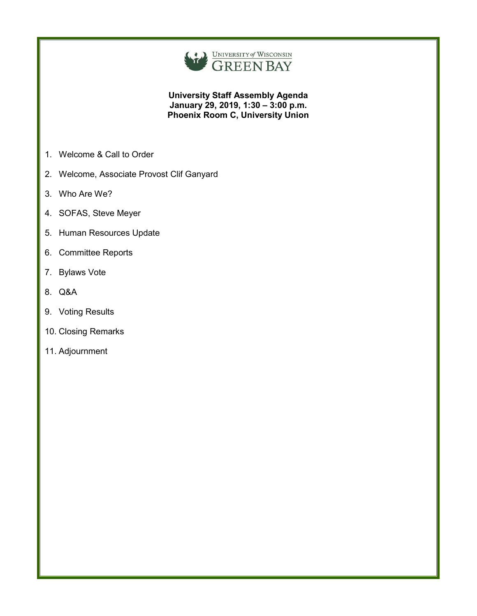

**University Staff Assembly Agenda January 29, 2019, 1:30 – 3:00 p.m. Phoenix Room C, University Union**

- 1. Welcome & Call to Order
- 2. Welcome, Associate Provost Clif Ganyard
- 3. Who Are We?
- 4. SOFAS, Steve Meyer
- 5. Human Resources Update
- 6. Committee Reports
- 7. Bylaws Vote
- 8. Q&A
- 9. Voting Results
- 10. Closing Remarks
- 11. Adjournment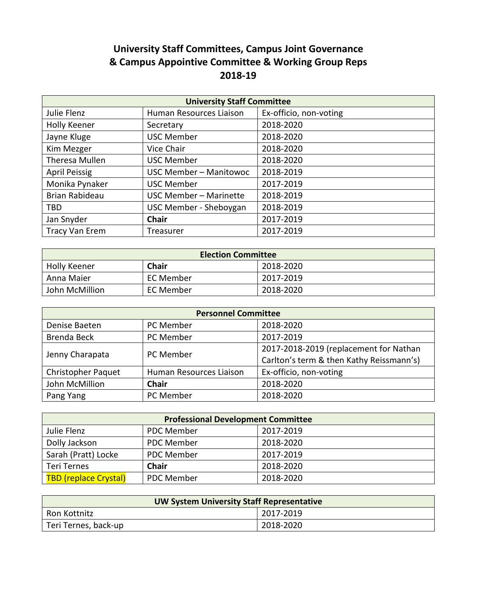# **University Staff Committees, Campus Joint Governance & Campus Appointive Committee & Working Group Reps 2018-19**

| <b>University Staff Committee</b> |                               |                        |
|-----------------------------------|-------------------------------|------------------------|
| Julie Flenz                       | Human Resources Liaison       | Ex-officio, non-voting |
| <b>Holly Keener</b>               | Secretary                     | 2018-2020              |
| Jayne Kluge                       | <b>USC Member</b>             | 2018-2020              |
| Kim Mezger                        | Vice Chair                    | 2018-2020              |
| Theresa Mullen                    | <b>USC Member</b>             | 2018-2020              |
| <b>April Peissig</b>              | USC Member - Manitowoc        | 2018-2019              |
| Monika Pynaker                    | <b>USC Member</b>             | 2017-2019              |
| Brian Rabideau                    | USC Member - Marinette        | 2018-2019              |
| <b>TBD</b>                        | <b>USC Member - Sheboygan</b> | 2018-2019              |
| Jan Snyder                        | <b>Chair</b>                  | 2017-2019              |
| <b>Tracy Van Erem</b>             | Treasurer                     | 2017-2019              |

| <b>Election Committee</b> |              |           |  |
|---------------------------|--------------|-----------|--|
| <b>Holly Keener</b>       | <b>Chair</b> | 2018-2020 |  |
| Anna Maier                | EC Member    | 2017-2019 |  |
| John McMillion            | EC Member    | 2018-2020 |  |

| <b>Personnel Committee</b> |                         |                                          |  |
|----------------------------|-------------------------|------------------------------------------|--|
| Denise Baeten              | PC Member               | 2018-2020                                |  |
| <b>Brenda Beck</b>         | PC Member               | 2017-2019                                |  |
| Jenny Charapata            | PC Member               | 2017-2018-2019 (replacement for Nathan   |  |
|                            |                         | Carlton's term & then Kathy Reissmann's) |  |
| <b>Christopher Paquet</b>  | Human Resources Liaison | Ex-officio, non-voting                   |  |
| John McMillion             | <b>Chair</b>            | 2018-2020                                |  |
| Pang Yang                  | PC Member               | 2018-2020                                |  |

| <b>Professional Development Committee</b> |                   |           |
|-------------------------------------------|-------------------|-----------|
| Julie Flenz                               | <b>PDC Member</b> | 2017-2019 |
| Dolly Jackson                             | <b>PDC Member</b> | 2018-2020 |
| Sarah (Pratt) Locke                       | PDC Member        | 2017-2019 |
| Teri Ternes                               | <b>Chair</b>      | 2018-2020 |
| <b>TBD (replace Crystal)</b>              | <b>PDC Member</b> | 2018-2020 |

| <b>UW System University Staff Representative</b> |           |  |
|--------------------------------------------------|-----------|--|
| Ron Kottnitz                                     | 2017-2019 |  |
| Teri Ternes, back-up                             | 2018-2020 |  |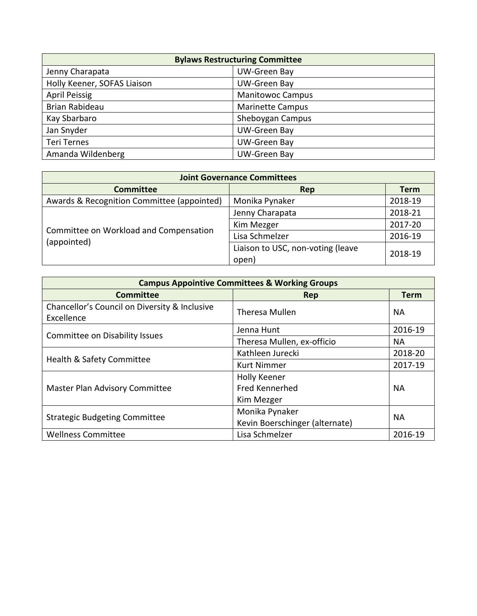| <b>Bylaws Restructuring Committee</b> |                         |  |
|---------------------------------------|-------------------------|--|
| Jenny Charapata                       | UW-Green Bay            |  |
| Holly Keener, SOFAS Liaison           | <b>UW-Green Bay</b>     |  |
| <b>April Peissig</b>                  | <b>Manitowoc Campus</b> |  |
| Brian Rabideau                        | <b>Marinette Campus</b> |  |
| Kay Sbarbaro                          | Sheboygan Campus        |  |
| Jan Snyder                            | <b>UW-Green Bay</b>     |  |
| <b>Teri Ternes</b>                    | <b>UW-Green Bay</b>     |  |
| Amanda Wildenberg                     | <b>UW-Green Bay</b>     |  |

| <b>Joint Governance Committees</b>                    |                                   |             |  |
|-------------------------------------------------------|-----------------------------------|-------------|--|
| <b>Committee</b>                                      | Rep                               | <b>Term</b> |  |
| Awards & Recognition Committee (appointed)            | Monika Pynaker                    | 2018-19     |  |
|                                                       | Jenny Charapata                   | 2018-21     |  |
|                                                       | Kim Mezger                        | 2017-20     |  |
| Committee on Workload and Compensation<br>(appointed) | Lisa Schmelzer                    | 2016-19     |  |
|                                                       | Liaison to USC, non-voting (leave | 2018-19     |  |
|                                                       | open)                             |             |  |

| <b>Campus Appointive Committees &amp; Working Groups</b>    |                                |             |  |
|-------------------------------------------------------------|--------------------------------|-------------|--|
| <b>Committee</b>                                            | Rep                            | <b>Term</b> |  |
| Chancellor's Council on Diversity & Inclusive<br>Excellence | <b>Theresa Mullen</b>          | <b>NA</b>   |  |
|                                                             | Jenna Hunt                     | 2016-19     |  |
| Committee on Disability Issues                              | Theresa Mullen, ex-officio     | NA.         |  |
| Health & Safety Committee                                   | Kathleen Jurecki               | 2018-20     |  |
|                                                             | <b>Kurt Nimmer</b>             | 2017-19     |  |
| Master Plan Advisory Committee                              | <b>Holly Keener</b>            |             |  |
|                                                             | <b>Fred Kennerhed</b>          | <b>NA</b>   |  |
|                                                             | Kim Mezger                     |             |  |
| <b>Strategic Budgeting Committee</b>                        | Monika Pynaker                 | <b>NA</b>   |  |
|                                                             | Kevin Boerschinger (alternate) |             |  |
| <b>Wellness Committee</b>                                   | Lisa Schmelzer                 | 2016-19     |  |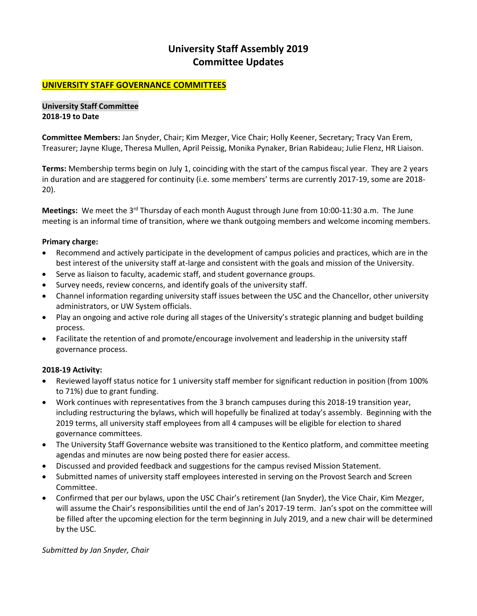## **University Staff Assembly 2019 Committee Updates**

## **UNIVERSITY STAFF GOVERNANCE COMMITTEES**

### **University Staff Committee 2018-19 to Date**

**Committee Members:** Jan Snyder, Chair; Kim Mezger, Vice Chair; Holly Keener, Secretary; Tracy Van Erem, Treasurer; Jayne Kluge, Theresa Mullen, April Peissig, Monika Pynaker, Brian Rabideau; Julie Flenz, HR Liaison.

**Terms:** Membership terms begin on July 1, coinciding with the start of the campus fiscal year. They are 2 years in duration and are staggered for continuity (i.e. some members' terms are currently 2017-19, some are 2018- 20).

**Meetings:** We meet the 3rd Thursday of each month August through June from 10:00-11:30 a.m. The June meeting is an informal time of transition, where we thank outgoing members and welcome incoming members.

## **Primary charge:**

- Recommend and actively participate in the development of campus policies and practices, which are in the best interest of the university staff at-large and consistent with the goals and mission of the University.
- Serve as liaison to faculty, academic staff, and student governance groups.
- Survey needs, review concerns, and identify goals of the university staff.
- Channel information regarding university staff issues between the USC and the Chancellor, other university administrators, or UW System officials.
- Play an ongoing and active role during all stages of the University's strategic planning and budget building process.
- Facilitate the retention of and promote/encourage involvement and leadership in the university staff governance process.

## **2018-19 Activity:**

- Reviewed layoff status notice for 1 university staff member for significant reduction in position (from 100% to 71%) due to grant funding.
- Work continues with representatives from the 3 branch campuses during this 2018-19 transition year, including restructuring the bylaws, which will hopefully be finalized at today's assembly. Beginning with the 2019 terms, all university staff employees from all 4 campuses will be eligible for election to shared governance committees.
- The University Staff Governance website was transitioned to the Kentico platform, and committee meeting agendas and minutes are now being posted there for easier access.
- Discussed and provided feedback and suggestions for the campus revised Mission Statement.
- Submitted names of university staff employees interested in serving on the Provost Search and Screen Committee.
- Confirmed that per our bylaws, upon the USC Chair's retirement (Jan Snyder), the Vice Chair, Kim Mezger, will assume the Chair's responsibilities until the end of Jan's 2017-19 term. Jan's spot on the committee will be filled after the upcoming election for the term beginning in July 2019, and a new chair will be determined by the USC.

*Submitted by Jan Snyder, Chair*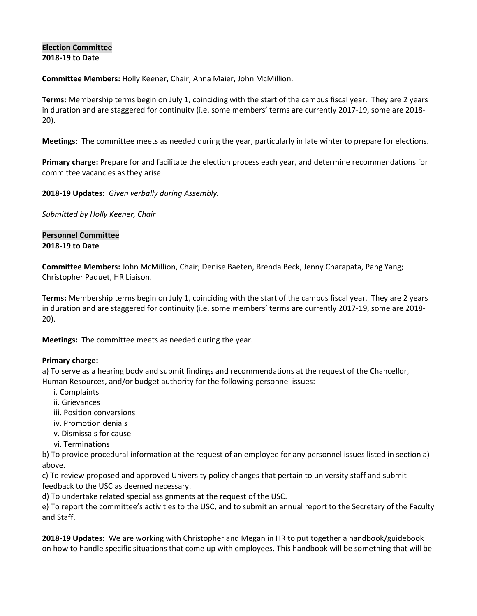## **Election Committee 2018-19 to Date**

**Committee Members:** Holly Keener, Chair; Anna Maier, John McMillion.

**Terms:** Membership terms begin on July 1, coinciding with the start of the campus fiscal year. They are 2 years in duration and are staggered for continuity (i.e. some members' terms are currently 2017-19, some are 2018- 20).

**Meetings:** The committee meets as needed during the year, particularly in late winter to prepare for elections.

**Primary charge:** Prepare for and facilitate the election process each year, and determine recommendations for committee vacancies as they arise.

**2018-19 Updates:** *Given verbally during Assembly.*

*Submitted by Holly Keener, Chair*

## **Personnel Committee 2018-19 to Date**

**Committee Members:** John McMillion, Chair; Denise Baeten, Brenda Beck, Jenny Charapata, Pang Yang; Christopher Paquet, HR Liaison.

**Terms:** Membership terms begin on July 1, coinciding with the start of the campus fiscal year. They are 2 years in duration and are staggered for continuity (i.e. some members' terms are currently 2017-19, some are 2018- 20).

**Meetings:** The committee meets as needed during the year.

## **Primary charge:**

a) To serve as a hearing body and submit findings and recommendations at the request of the Chancellor, Human Resources, and/or budget authority for the following personnel issues:

- i. Complaints
- ii. Grievances
- iii. Position conversions
- iv. Promotion denials
- v. Dismissals for cause
- vi. Terminations

b) To provide procedural information at the request of an employee for any personnel issues listed in section a) above.

c) To review proposed and approved University policy changes that pertain to university staff and submit feedback to the USC as deemed necessary.

d) To undertake related special assignments at the request of the USC.

e) To report the committee's activities to the USC, and to submit an annual report to the Secretary of the Faculty and Staff.

**2018-19 Updates:** We are working with Christopher and Megan in HR to put together a handbook/guidebook on how to handle specific situations that come up with employees. This handbook will be something that will be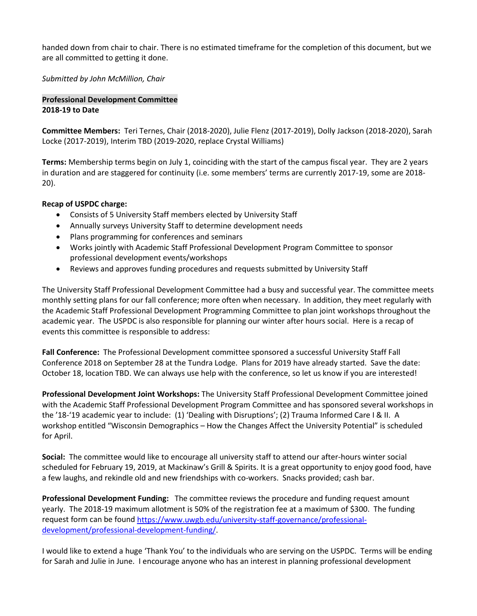handed down from chair to chair. There is no estimated timeframe for the completion of this document, but we are all committed to getting it done.

*Submitted by John McMillion, Chair*

## **Professional Development Committee 2018-19 to Date**

**Committee Members:** Teri Ternes, Chair (2018-2020), Julie Flenz (2017-2019), Dolly Jackson (2018-2020), Sarah Locke (2017-2019), Interim TBD (2019-2020, replace Crystal Williams)

**Terms:** Membership terms begin on July 1, coinciding with the start of the campus fiscal year. They are 2 years in duration and are staggered for continuity (i.e. some members' terms are currently 2017-19, some are 2018- 20).

## **Recap of USPDC charge:**

- Consists of 5 University Staff members elected by University Staff
- Annually surveys University Staff to determine development needs
- Plans programming for conferences and seminars
- Works jointly with Academic Staff Professional Development Program Committee to sponsor professional development events/workshops
- Reviews and approves funding procedures and requests submitted by University Staff

The University Staff Professional Development Committee had a busy and successful year. The committee meets monthly setting plans for our fall conference; more often when necessary. In addition, they meet regularly with the Academic Staff Professional Development Programming Committee to plan joint workshops throughout the academic year. The USPDC is also responsible for planning our winter after hours social. Here is a recap of events this committee is responsible to address:

**Fall Conference:** The Professional Development committee sponsored a successful University Staff Fall Conference 2018 on September 28 at the Tundra Lodge. Plans for 2019 have already started. Save the date: October 18, location TBD. We can always use help with the conference, so let us know if you are interested!

**Professional Development Joint Workshops:** The University Staff Professional Development Committee joined with the Academic Staff Professional Development Program Committee and has sponsored several workshops in the '18-'19 academic year to include: (1) 'Dealing with Disruptions'; (2) Trauma Informed Care I & II. A workshop entitled "Wisconsin Demographics – How the Changes Affect the University Potential" is scheduled for April.

**Social:** The committee would like to encourage all university staff to attend our after-hours winter social scheduled for February 19, 2019, at Mackinaw's Grill & Spirits. It is a great opportunity to enjoy good food, have a few laughs, and rekindle old and new friendships with co-workers. Snacks provided; cash bar.

**Professional Development Funding:** The committee reviews the procedure and funding request amount yearly. The 2018-19 maximum allotment is 50% of the registration fee at a maximum of \$300. The funding request form can be found [https://www.uwgb.edu/university-staff-governance/professional](https://www.uwgb.edu/university-staff-governance/professional-development/professional-development-funding/)[development/professional-development-funding/.](https://www.uwgb.edu/university-staff-governance/professional-development/professional-development-funding/)

I would like to extend a huge 'Thank You' to the individuals who are serving on the USPDC. Terms will be ending for Sarah and Julie in June. I encourage anyone who has an interest in planning professional development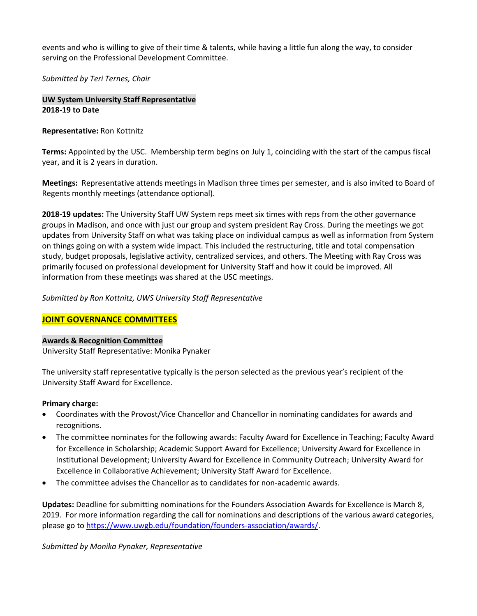events and who is willing to give of their time & talents, while having a little fun along the way, to consider serving on the Professional Development Committee.

*Submitted by Teri Ternes, Chair*

**UW System University Staff Representative 2018-19 to Date**

## **Representative:** Ron Kottnitz

**Terms:** Appointed by the USC. Membership term begins on July 1, coinciding with the start of the campus fiscal year, and it is 2 years in duration.

**Meetings:** Representative attends meetings in Madison three times per semester, and is also invited to Board of Regents monthly meetings (attendance optional).

**2018-19 updates:** The University Staff UW System reps meet six times with reps from the other governance groups in Madison, and once with just our group and system president Ray Cross. During the meetings we got updates from University Staff on what was taking place on individual campus as well as information from System on things going on with a system wide impact. This included the restructuring, title and total compensation study, budget proposals, legislative activity, centralized services, and others. The Meeting with Ray Cross was primarily focused on professional development for University Staff and how it could be improved. All information from these meetings was shared at the USC meetings.

*Submitted by Ron Kottnitz, UWS University Staff Representative*

## **JOINT GOVERNANCE COMMITTEES**

## **Awards & Recognition Committee**

University Staff Representative: Monika Pynaker

The university staff representative typically is the person selected as the previous year's recipient of the University Staff Award for Excellence.

## **Primary charge:**

- Coordinates with the Provost/Vice Chancellor and Chancellor in nominating candidates for awards and recognitions.
- The committee nominates for the following awards: Faculty Award for Excellence in Teaching; Faculty Award for Excellence in Scholarship; Academic Support Award for Excellence; University Award for Excellence in Institutional Development; University Award for Excellence in Community Outreach; University Award for Excellence in Collaborative Achievement; University Staff Award for Excellence.
- The committee advises the Chancellor as to candidates for non-academic awards.

**Updates:** Deadline for submitting nominations for the Founders Association Awards for Excellence is March 8, 2019. For more information regarding the call for nominations and descriptions of the various award categories, please go t[o https://www.uwgb.edu/foundation/founders-association/awards/.](https://www.uwgb.edu/foundation/founders-association/awards/)

*Submitted by Monika Pynaker, Representative*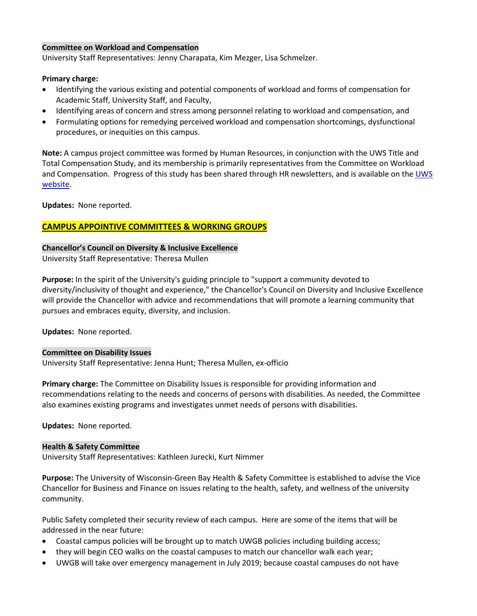## **Committee on Workload and Compensation**

University Staff Representatives: Jenny Charapata, Kim Mezger, Lisa Schmelzer.

### **Primary charge:**

- Identifying the various existing and potential components of workload and forms of compensation for Academic Staff, University Staff, and Faculty,
- Identifying areas of concern and stress among personnel relating to workload and compensation, and
- Formulating options for remedying perceived workload and compensation shortcomings, dysfunctional procedures, or inequities on this campus.

**Note:** A campus project committee was formed by Human Resources, in conjunction with the UWS Title and Total Compensation Study, and its membership is primarily representatives from the Committee on Workload and Compensation. Progress of this study has been shared through HR newsletters, and is available on the UWS [website.](https://www.wisconsin.edu/ohrwd/title-and-total-compensation-study/)

**Updates:** None reported.

## **CAMPUS APPOINTIVE COMMITTEES & WORKING GROUPS**

## **Chancellor's Council on Diversity & Inclusive Excellence**

University Staff Representative: Theresa Mullen

**Purpose:** In the spirit of the University's guiding principle to "support a community devoted to diversity/inclusivity of thought and experience," the Chancellor's Council on Diversity and Inclusive Excellence will provide the Chancellor with advice and recommendations that will promote a learning community that pursues and embraces equity, diversity, and inclusion.

**Updates:** None reported.

### **Committee on Disability Issues**

University Staff Representative: Jenna Hunt; Theresa Mullen, ex-officio

**Primary charge:** The Committee on Disability Issues is responsible for providing information and recommendations relating to the needs and concerns of persons with disabilities. As needed, the Committee also examines existing programs and investigates unmet needs of persons with disabilities.

**Updates:** None reported.

### **Health & Safety Committee**

University Staff Representatives: Kathleen Jurecki, Kurt Nimmer

**Purpose:** The University of Wisconsin-Green Bay Health & Safety Committee is established to advise the Vice Chancellor for Business and Finance on issues relating to the health, safety, and wellness of the university community.

Public Safety completed their security review of each campus. Here are some of the items that will be addressed in the near future:

- Coastal campus policies will be brought up to match UWGB policies including building access;
- they will begin CEO walks on the coastal campuses to match our chancellor walk each year;
- UWGB will take over emergency management in July 2019; because coastal campuses do not have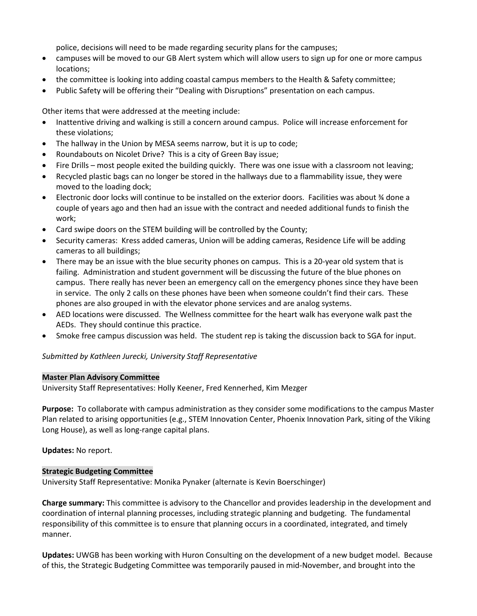police, decisions will need to be made regarding security plans for the campuses;

- campuses will be moved to our GB Alert system which will allow users to sign up for one or more campus locations;
- the committee is looking into adding coastal campus members to the Health & Safety committee;
- Public Safety will be offering their "Dealing with Disruptions" presentation on each campus.

Other items that were addressed at the meeting include:

- Inattentive driving and walking is still a concern around campus. Police will increase enforcement for these violations;
- The hallway in the Union by MESA seems narrow, but it is up to code;
- Roundabouts on Nicolet Drive? This is a city of Green Bay issue;
- Fire Drills most people exited the building quickly. There was one issue with a classroom not leaving;
- Recycled plastic bags can no longer be stored in the hallways due to a flammability issue, they were moved to the loading dock;
- Electronic door locks will continue to be installed on the exterior doors. Facilities was about ¾ done a couple of years ago and then had an issue with the contract and needed additional funds to finish the work;
- Card swipe doors on the STEM building will be controlled by the County;
- Security cameras: Kress added cameras, Union will be adding cameras, Residence Life will be adding cameras to all buildings;
- There may be an issue with the blue security phones on campus. This is a 20-year old system that is failing. Administration and student government will be discussing the future of the blue phones on campus. There really has never been an emergency call on the emergency phones since they have been in service. The only 2 calls on these phones have been when someone couldn't find their cars. These phones are also grouped in with the elevator phone services and are analog systems.
- AED locations were discussed. The Wellness committee for the heart walk has everyone walk past the AEDs. They should continue this practice.
- Smoke free campus discussion was held. The student rep is taking the discussion back to SGA for input.

## *Submitted by Kathleen Jurecki, University Staff Representative*

### **Master Plan Advisory Committee**

University Staff Representatives: Holly Keener, Fred Kennerhed, Kim Mezger

**Purpose:** To collaborate with campus administration as they consider some modifications to the campus Master Plan related to arising opportunities (e.g., STEM Innovation Center, Phoenix Innovation Park, siting of the Viking Long House), as well as long-range capital plans.

**Updates:** No report.

## **Strategic Budgeting Committee**

University Staff Representative: Monika Pynaker (alternate is Kevin Boerschinger)

**Charge summary:** This committee is advisory to the Chancellor and provides leadership in the development and coordination of internal planning processes, including strategic planning and budgeting. The fundamental responsibility of this committee is to ensure that planning occurs in a coordinated, integrated, and timely manner.

**Updates:** UWGB has been working with Huron Consulting on the development of a new budget model. Because of this, the Strategic Budgeting Committee was temporarily paused in mid-November, and brought into the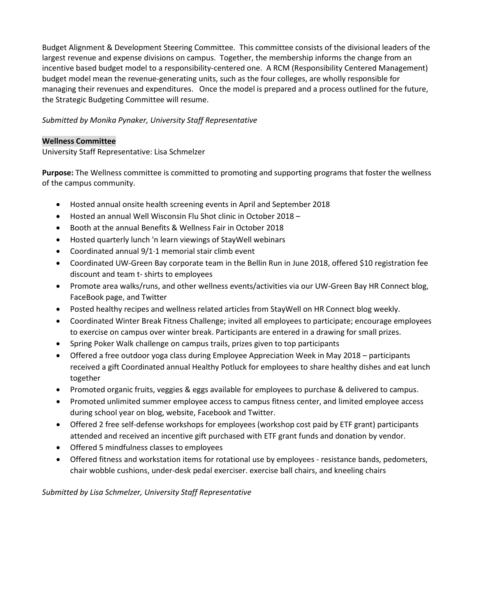Budget Alignment & Development Steering Committee. This committee consists of the divisional leaders of the largest revenue and expense divisions on campus. Together, the membership informs the change from an incentive based budget model to a responsibility-centered one. A RCM (Responsibility Centered Management) budget model mean the revenue-generating units, such as the four colleges, are wholly responsible for managing their revenues and expenditures. Once the model is prepared and a process outlined for the future, the Strategic Budgeting Committee will resume.

## *Submitted by Monika Pynaker, University Staff Representative*

## **Wellness Committee**

University Staff Representative: Lisa Schmelzer

**Purpose:** The Wellness committee is committed to promoting and supporting programs that foster the wellness of the campus community.

- Hosted annual onsite health screening events in April and September 2018
- Hosted an annual Well Wisconsin Flu Shot clinic in October 2018 –
- Booth at the annual Benefits & Wellness Fair in October 2018
- Hosted quarterly lunch 'n learn viewings of StayWell webinars
- Coordinated annual 9/1·1 memorial stair climb event
- Coordinated UW-Green Bay corporate team in the Bellin Run in June 2018, offered \$10 registration fee discount and team t- shirts to employees
- Promote area walks/runs, and other wellness events/activities via our UW-Green Bay HR Connect blog, FaceBook page, and Twitter
- Posted healthy recipes and wellness related articles from StayWell on HR Connect blog weekly.
- Coordinated Winter Break Fitness Challenge; invited all employees to participate; encourage employees to exercise on campus over winter break. Participants are entered in a drawing for small prizes.
- Spring Poker Walk challenge on campus trails, prizes given to top participants
- Offered a free outdoor yoga class during Employee Appreciation Week in May 2018 participants received a gift Coordinated annual Healthy Potluck for employees to share healthy dishes and eat lunch together
- Promoted organic fruits, veggies & eggs available for employees to purchase & delivered to campus.
- Promoted unlimited summer employee access to campus fitness center, and limited employee access during school year on blog, website, Facebook and Twitter.
- Offered 2 free self-defense workshops for employees (workshop cost paid by ETF grant) participants attended and received an incentive gift purchased with ETF grant funds and donation by vendor.
- Offered 5 mindfulness classes to employees
- Offered fitness and workstation items for rotational use by employees resistance bands, pedometers, chair wobble cushions, under-desk pedal exerciser. exercise ball chairs, and kneeling chairs

*Submitted by Lisa Schmelzer, University Staff Representative*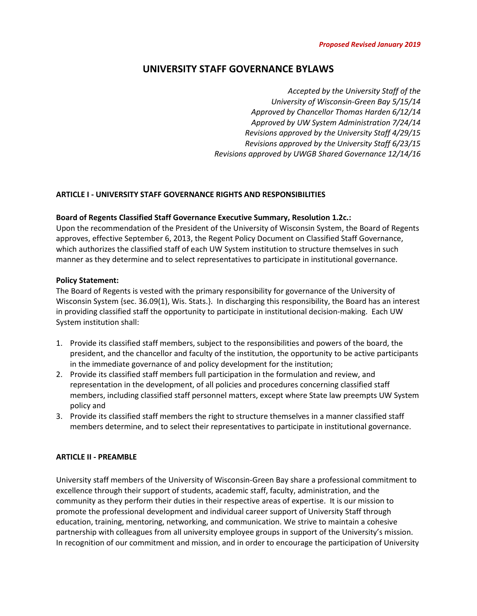## **UNIVERSITY STAFF GOVERNANCE BYLAWS**

*Accepted by the University Staff of the University of Wisconsin-Green Bay 5/15/14 Approved by Chancellor Thomas Harden 6/12/14 Approved by UW System Administration 7/24/14 Revisions approved by the University Staff 4/29/15 Revisions approved by the University Staff 6/23/15 Revisions approved by UWGB Shared Governance 12/14/16*

## **ARTICLE I - UNIVERSITY STAFF GOVERNANCE RIGHTS AND RESPONSIBILITIES**

### **Board of Regents Classified Staff Governance Executive Summary, Resolution 1.2c.:**

Upon the recommendation of the President of the University of Wisconsin System, the Board of Regents approves, effective September 6, 2013, the Regent Policy Document on Classified Staff Governance, which authorizes the classified staff of each UW System institution to structure themselves in such manner as they determine and to select representatives to participate in institutional governance.

### **Policy Statement:**

The Board of Regents is vested with the primary responsibility for governance of the University of Wisconsin System {sec. 36.09(1), Wis. Stats.}. In discharging this responsibility, the Board has an interest in providing classified staff the opportunity to participate in institutional decision-making. Each UW System institution shall:

- 1. Provide its classified staff members, subject to the responsibilities and powers of the board, the president, and the chancellor and faculty of the institution, the opportunity to be active participants in the immediate governance of and policy development for the institution;
- 2. Provide its classified staff members full participation in the formulation and review, and representation in the development, of all policies and procedures concerning classified staff members, including classified staff personnel matters, except where State law preempts UW System policy and
- 3. Provide its classified staff members the right to structure themselves in a manner classified staff members determine, and to select their representatives to participate in institutional governance.

### **ARTICLE II - PREAMBLE**

University staff members of the University of Wisconsin-Green Bay share a professional commitment to excellence through their support of students, academic staff, faculty, administration, and the community as they perform their duties in their respective areas of expertise. It is our mission to promote the professional development and individual career support of University Staff through education, training, mentoring, networking, and communication. We strive to maintain a cohesive partnership with colleagues from all university employee groups in support of the University's mission. In recognition of our commitment and mission, and in order to encourage the participation of University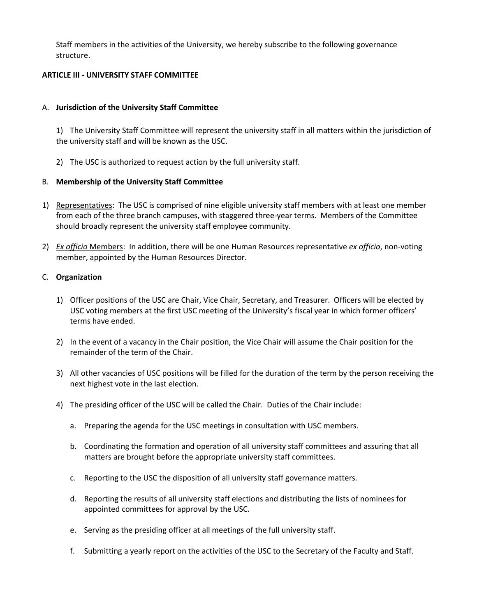Staff members in the activities of the University, we hereby subscribe to the following governance structure.

## **ARTICLE III - UNIVERSITY STAFF COMMITTEE**

## A. **Jurisdiction of the University Staff Committee**

1) The University Staff Committee will represent the university staff in all matters within the jurisdiction of the university staff and will be known as the USC.

2) The USC is authorized to request action by the full university staff.

## B. **Membership of the University Staff Committee**

- 1) Representatives: The USC is comprised of nine eligible university staff members with at least one member from each of the three branch campuses, with staggered three-year terms. Members of the Committee should broadly represent the university staff employee community.
- 2) *Ex officio* Members: In addition, there will be one Human Resources representative *ex officio*, non-voting member, appointed by the Human Resources Director.

## C. **Organization**

- 1) Officer positions of the USC are Chair, Vice Chair, Secretary, and Treasurer. Officers will be elected by USC voting members at the first USC meeting of the University's fiscal year in which former officers' terms have ended.
- 2) In the event of a vacancy in the Chair position, the Vice Chair will assume the Chair position for the remainder of the term of the Chair.
- 3) All other vacancies of USC positions will be filled for the duration of the term by the person receiving the next highest vote in the last election.
- 4) The presiding officer of the USC will be called the Chair. Duties of the Chair include:
	- a. Preparing the agenda for the USC meetings in consultation with USC members.
	- b. Coordinating the formation and operation of all university staff committees and assuring that all matters are brought before the appropriate university staff committees.
	- c. Reporting to the USC the disposition of all university staff governance matters.
	- d. Reporting the results of all university staff elections and distributing the lists of nominees for appointed committees for approval by the USC.
	- e. Serving as the presiding officer at all meetings of the full university staff.
	- f. Submitting a yearly report on the activities of the USC to the Secretary of the Faculty and Staff.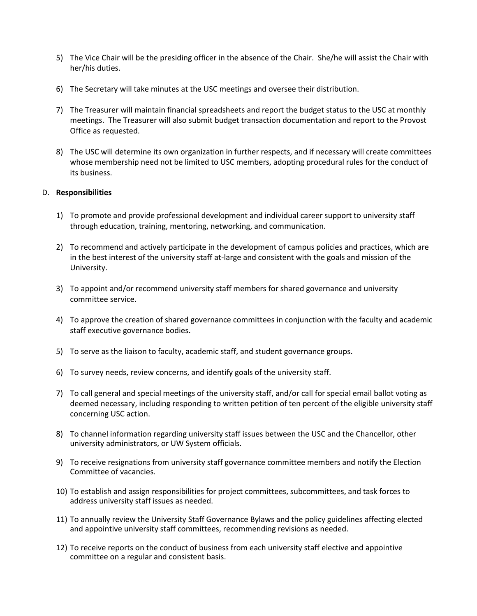- 5) The Vice Chair will be the presiding officer in the absence of the Chair. She/he will assist the Chair with her/his duties.
- 6) The Secretary will take minutes at the USC meetings and oversee their distribution.
- 7) The Treasurer will maintain financial spreadsheets and report the budget status to the USC at monthly meetings. The Treasurer will also submit budget transaction documentation and report to the Provost Office as requested.
- 8) The USC will determine its own organization in further respects, and if necessary will create committees whose membership need not be limited to USC members, adopting procedural rules for the conduct of its business.

## D. **Responsibilities**

- 1) To promote and provide professional development and individual career support to university staff through education, training, mentoring, networking, and communication.
- 2) To recommend and actively participate in the development of campus policies and practices, which are in the best interest of the university staff at-large and consistent with the goals and mission of the University.
- 3) To appoint and/or recommend university staff members for shared governance and university committee service.
- 4) To approve the creation of shared governance committees in conjunction with the faculty and academic staff executive governance bodies.
- 5) To serve as the liaison to faculty, academic staff, and student governance groups.
- 6) To survey needs, review concerns, and identify goals of the university staff.
- 7) To call general and special meetings of the university staff, and/or call for special email ballot voting as deemed necessary, including responding to written petition of ten percent of the eligible university staff concerning USC action.
- 8) To channel information regarding university staff issues between the USC and the Chancellor, other university administrators, or UW System officials.
- 9) To receive resignations from university staff governance committee members and notify the Election Committee of vacancies.
- 10) To establish and assign responsibilities for project committees, subcommittees, and task forces to address university staff issues as needed.
- 11) To annually review the University Staff Governance Bylaws and the policy guidelines affecting elected and appointive university staff committees, recommending revisions as needed.
- 12) To receive reports on the conduct of business from each university staff elective and appointive committee on a regular and consistent basis.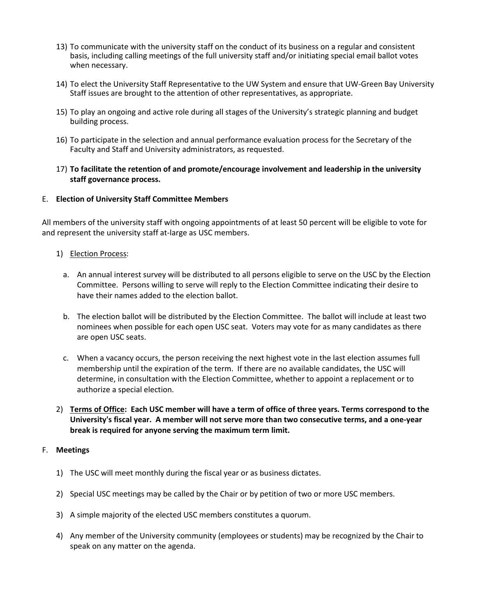- 13) To communicate with the university staff on the conduct of its business on a regular and consistent basis, including calling meetings of the full university staff and/or initiating special email ballot votes when necessary.
- 14) To elect the University Staff Representative to the UW System and ensure that UW-Green Bay University Staff issues are brought to the attention of other representatives, as appropriate.
- 15) To play an ongoing and active role during all stages of the University's strategic planning and budget building process.
- 16) To participate in the selection and annual performance evaluation process for the Secretary of the Faculty and Staff and University administrators, as requested.
- 17) **To facilitate the retention of and promote/encourage involvement and leadership in the university staff governance process.**

### E. **Election of University Staff Committee Members**

All members of the university staff with ongoing appointments of at least 50 percent will be eligible to vote for and represent the university staff at-large as USC members.

### 1) Election Process:

- a. An annual interest survey will be distributed to all persons eligible to serve on the USC by the Election Committee. Persons willing to serve will reply to the Election Committee indicating their desire to have their names added to the election ballot.
- b. The election ballot will be distributed by the Election Committee. The ballot will include at least two nominees when possible for each open USC seat. Voters may vote for as many candidates as there are open USC seats.
- c. When a vacancy occurs, the person receiving the next highest vote in the last election assumes full membership until the expiration of the term. If there are no available candidates, the USC will determine, in consultation with the Election Committee, whether to appoint a replacement or to authorize a special election.
- 2) **Terms of Office: Each USC member will have a term of office of three years. Terms correspond to the University's fiscal year. A member will not serve more than two consecutive terms, and a one-year break is required for anyone serving the maximum term limit.**

### F. **Meetings**

- 1) The USC will meet monthly during the fiscal year or as business dictates.
- 2) Special USC meetings may be called by the Chair or by petition of two or more USC members.
- 3) A simple majority of the elected USC members constitutes a quorum.
- 4) Any member of the University community (employees or students) may be recognized by the Chair to speak on any matter on the agenda.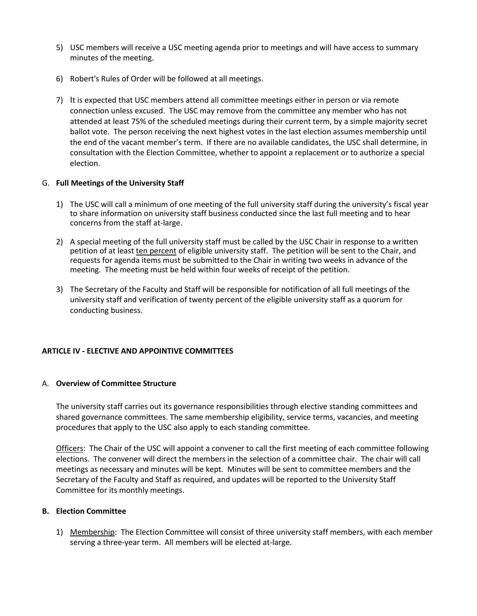- 5) USC members will receive a USC meeting agenda prior to meetings and will have access to summary minutes of the meeting.
- 6) Robert's Rules of Order will be followed at all meetings.
- 7) It is expected that USC members attend all committee meetings either in person or via remote connection unless excused. The USC may remove from the committee any member who has not attended at least 75% of the scheduled meetings during their current term, by a simple majority secret ballot vote. The person receiving the next highest votes in the last election assumes membership until the end of the vacant member's term. If there are no available candidates, the USC shall determine, in consultation with the Election Committee, whether to appoint a replacement or to authorize a special election.

## G. **Full Meetings of the University Staff**

- 1) The USC will call a minimum of one meeting of the full university staff during the university's fiscal year to share information on university staff business conducted since the last full meeting and to hear concerns from the staff at-large.
- 2) A special meeting of the full university staff must be called by the USC Chair in response to a written petition of at least ten percent of eligible university staff. The petition will be sent to the Chair, and requests for agenda items must be submitted to the Chair in writing two weeks in advance of the meeting. The meeting must be held within four weeks of receipt of the petition.
- 3) The Secretary of the Faculty and Staff will be responsible for notification of all full meetings of the university staff and verification of twenty percent of the eligible university staff as a quorum for conducting business.

## **ARTICLE IV - ELECTIVE AND APPOINTIVE COMMITTEES**

## A. **Overview of Committee Structure**

The university staff carries out its governance responsibilities through elective standing committees and shared governance committees. The same membership eligibility, service terms, vacancies, and meeting procedures that apply to the USC also apply to each standing committee.

Officers: The Chair of the USC will appoint a convener to call the first meeting of each committee following elections. The convener will direct the members in the selection of a committee chair. The chair will call meetings as necessary and minutes will be kept. Minutes will be sent to committee members and the Secretary of the Faculty and Staff as required, and updates will be reported to the University Staff Committee for its monthly meetings.

### **B. Election Committee**

1) Membership: The Election Committee will consist of three university staff members, with each member serving a three-year term. All members will be elected at-large.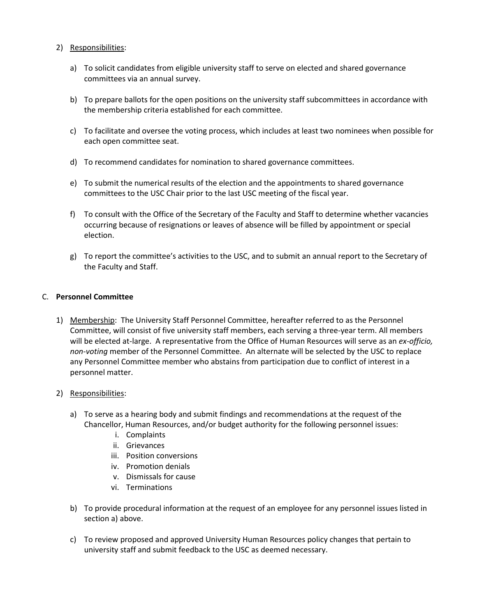## 2) Responsibilities:

- a) To solicit candidates from eligible university staff to serve on elected and shared governance committees via an annual survey.
- b) To prepare ballots for the open positions on the university staff subcommittees in accordance with the membership criteria established for each committee.
- c) To facilitate and oversee the voting process, which includes at least two nominees when possible for each open committee seat.
- d) To recommend candidates for nomination to shared governance committees.
- e) To submit the numerical results of the election and the appointments to shared governance committees to the USC Chair prior to the last USC meeting of the fiscal year.
- f) To consult with the Office of the Secretary of the Faculty and Staff to determine whether vacancies occurring because of resignations or leaves of absence will be filled by appointment or special election.
- g) To report the committee's activities to the USC, and to submit an annual report to the Secretary of the Faculty and Staff.

## C. **Personnel Committee**

- 1) Membership: The University Staff Personnel Committee, hereafter referred to as the Personnel Committee, will consist of five university staff members, each serving a three-year term. All members will be elected at-large. A representative from the Office of Human Resources will serve as an *ex-officio, non-voting* member of the Personnel Committee. An alternate will be selected by the USC to replace any Personnel Committee member who abstains from participation due to conflict of interest in a personnel matter.
- 2) Responsibilities:
	- a) To serve as a hearing body and submit findings and recommendations at the request of the Chancellor, Human Resources, and/or budget authority for the following personnel issues:
		- i. Complaints
		- ii. Grievances
		- iii. Position conversions
		- iv. Promotion denials
		- v. Dismissals for cause
		- vi. Terminations
	- b) To provide procedural information at the request of an employee for any personnel issues listed in section a) above.
	- c) To review proposed and approved University Human Resources policy changes that pertain to university staff and submit feedback to the USC as deemed necessary.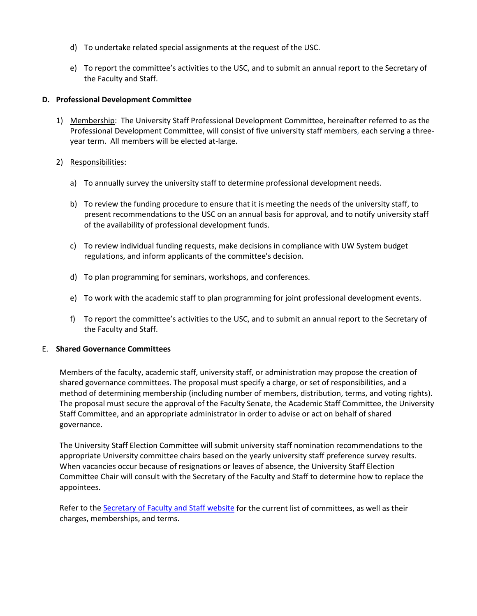- d) To undertake related special assignments at the request of the USC.
- e) To report the committee's activities to the USC, and to submit an annual report to the Secretary of the Faculty and Staff.

### **D. Professional Development Committee**

- 1) Membership: The University Staff Professional Development Committee, hereinafter referred to as the Professional Development Committee, will consist of five university staff members, each serving a threeyear term. All members will be elected at-large.
- 2) Responsibilities:
	- a) To annually survey the university staff to determine professional development needs.
	- b) To review the funding procedure to ensure that it is meeting the needs of the university staff, to present recommendations to the USC on an annual basis for approval, and to notify university staff of the availability of professional development funds.
	- c) To review individual funding requests, make decisions in compliance with UW System budget regulations, and inform applicants of the committee's decision.
	- d) To plan programming for seminars, workshops, and conferences.
	- e) To work with the academic staff to plan programming for joint professional development events.
	- f) To report the committee's activities to the USC, and to submit an annual report to the Secretary of the Faculty and Staff.

### E. **Shared Governance Committees**

Members of the faculty, academic staff, university staff, or administration may propose the creation of shared governance committees. The proposal must specify a charge, or set of responsibilities, and a method of determining membership (including number of members, distribution, terms, and voting rights). The proposal must secure the approval of the Faculty Senate, the Academic Staff Committee, the University Staff Committee, and an appropriate administrator in order to advise or act on behalf of shared governance.

The University Staff Election Committee will submit university staff nomination recommendations to the appropriate University committee chairs based on the yearly university staff preference survey results. When vacancies occur because of resignations or leaves of absence, the University Staff Election Committee Chair will consult with the Secretary of the Faculty and Staff to determine how to replace the appointees.

Refer to th[e Secretary of Faculty and Staff website](http://www.uwgb.edu/sofas/) for the current list of committees, as well as their charges, memberships, and terms.